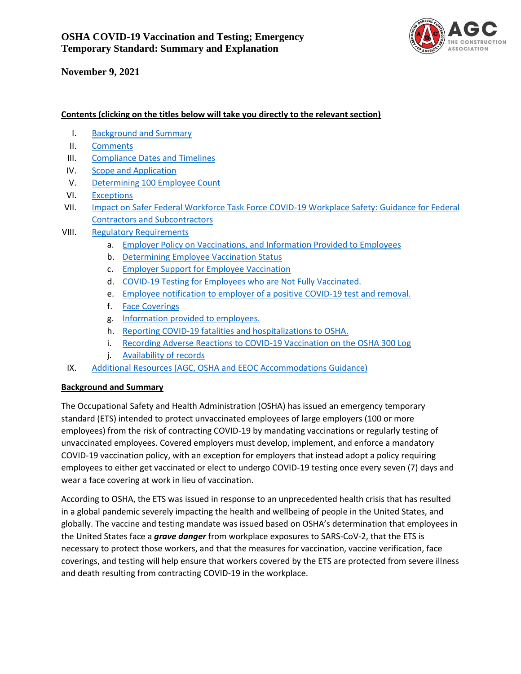

#### **Contents (clicking on the titles below will take you directly to the relevant section)**

- <span id="page-0-0"></span>I. [Background and Summary](#page-0-0)
- II. [Comments](#page-0-1)
- III. [Compliance Dates and Timelines](#page-1-0)
- IV. [Scope and Application](#page-1-1)
- V. [Determining 100 Employee Count](#page-2-0)
- VI. [Exceptions](#page-2-1)
- VII. Impact on Safer Federal Workforce Task Force COVID-19 Workplace Safety: Guidance for Federal [Contractors and Subcontractors](#page-3-0)
- VIII. [Regulatory Requirements](#page-3-1)
	- a. [Employer Policy on Vaccinations, and Information Provided to Employees](#page-4-0)
	- b. [Determining Employee Vaccination Status](#page-5-0)
	- c. [Employer Support for Employee Vaccination](#page-6-0)
	- d. [COVID-19 Testing for Employees who are Not Fully Vaccinated.](#page-7-0)
	- e. [Employee notification to employer of a positive COVID-19 test and removal.](#page-9-0)
	- f. [Face Coverings](#page-9-1)
	- g. [Information provided to employees.](#page-10-0)
	- h. [Reporting COVID-19 fatalities and hospitalizations to OSHA.](#page-11-0)
	- i. [Recording Adverse Reactions to COVID-19 Vaccination on the OSHA 300 Log](#page-11-1)
	- j. [Availability of records](#page-11-2)
- IX. [Additional Resources](#page-12-0) (AGC, OSHA and EEOC [Accommodations Guidance\)](#page-12-0)

#### **Background and Summary**

The Occupational Safety and Health Administration (OSHA) has issued an emergency temporary standard (ETS) intended to protect unvaccinated employees of large employers (100 or more employees) from the risk of contracting COVID-19 by mandating vaccinations or regularly testing of unvaccinated employees. Covered employers must develop, implement, and enforce a mandatory COVID-19 vaccination policy, with an exception for employers that instead adopt a policy requiring employees to either get vaccinated or elect to undergo COVID-19 testing once every seven (7) days and wear a face covering at work in lieu of vaccination.

<span id="page-0-1"></span>According to OSHA, the ETS was issued in response to an unprecedented health crisis that has resulted in a global pandemic severely impacting the health and wellbeing of people in the United States, and globally. The vaccine and testing mandate was issued based on OSHA's determination that employees in the United States face a *grave danger* from workplace exposures to SARS-CoV-2, that the ETS is necessary to protect those workers, and that the measures for vaccination, vaccine verification, face coverings, and testing will help ensure that workers covered by the ETS are protected from severe illness and death resulting from contracting COVID-19 in the workplace.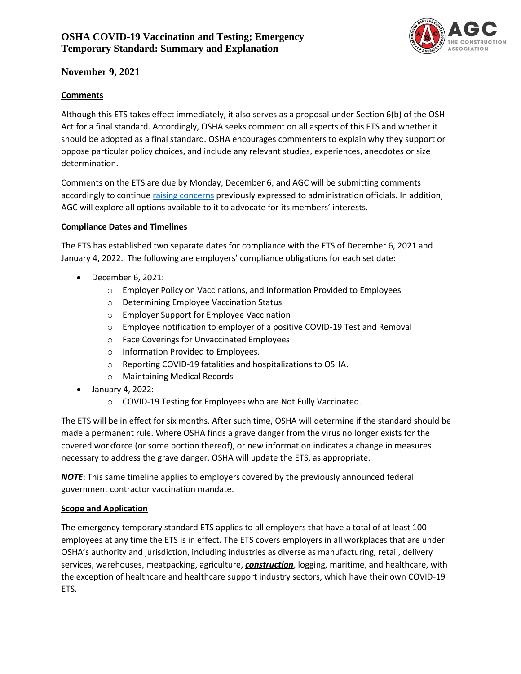

#### **Comments**

Although this ETS takes effect immediately, it also serves as a proposal under Section 6(b) of the OSH Act for a final standard. Accordingly, OSHA seeks comment on all aspects of this ETS and whether it should be adopted as a final standard. OSHA encourages commenters to explain why they support or oppose particular policy choices, and include any relevant studies, experiences, anecdotes or size determination.

Comments on the ETS are due by Monday, December 6, and AGC will be submitting comments accordingly to continue [raising concerns](https://www.agc.org/sites/default/files/Files/Govt%20Regulations%20and%20Executive%20Orders/AGC%20Letter%20to%20USDOL%20Sec.%20Walsh%20re%20Testing%20Mandate%209.18.21.pdf) previously expressed to administration officials. In addition, AGC will explore all options available to it to advocate for its members' interests.

#### <span id="page-1-0"></span>**Compliance Dates and Timelines**

The ETS has established two separate dates for compliance with the ETS of December 6, 2021 and January 4, 2022. The following are employers' compliance obligations for each set date:

- December 6, 2021:
	- o Employer Policy on Vaccinations, and Information Provided to Employees
	- o Determining Employee Vaccination Status
	- o Employer Support for Employee Vaccination
	- o Employee notification to employer of a positive COVID-19 Test and Removal
	- o Face Coverings for Unvaccinated Employees
	- o Information Provided to Employees.
	- o Reporting COVID-19 fatalities and hospitalizations to OSHA.
	- o Maintaining Medical Records
- January 4, 2022:
	- o COVID-19 Testing for Employees who are Not Fully Vaccinated.

The ETS will be in effect for six months. After such time, OSHA will determine if the standard should be made a permanent rule. Where OSHA finds a grave danger from the virus no longer exists for the covered workforce (or some portion thereof), or new information indicates a change in measures necessary to address the grave danger, OSHA will update the ETS, as appropriate.

*NOTE*: This same timeline applies to employers covered by the previously announced federal government contractor vaccination mandate.

#### <span id="page-1-1"></span>**Scope and Application**

The emergency temporary standard ETS applies to all employers that have a total of at least 100 employees at any time the ETS is in effect. The ETS covers employers in all workplaces that are under OSHA's authority and jurisdiction, including industries as diverse as manufacturing, retail, delivery services, warehouses, meatpacking, agriculture, *construction*, logging, maritime, and healthcare, with the exception of healthcare and healthcare support industry sectors, which have their own COVID-19 ETS.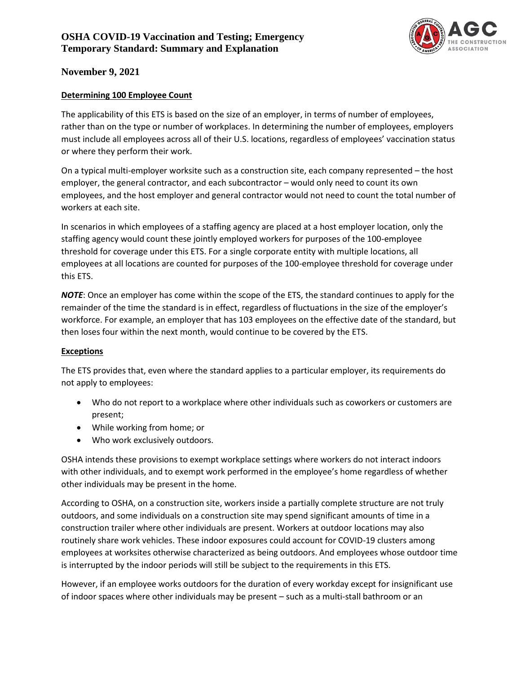

#### <span id="page-2-0"></span>**Determining 100 Employee Count**

The applicability of this ETS is based on the size of an employer, in terms of number of employees, rather than on the type or number of workplaces. In determining the number of employees, employers must include all employees across all of their U.S. locations, regardless of employees' vaccination status or where they perform their work.

On a typical multi-employer worksite such as a construction site, each company represented – the host employer, the general contractor, and each subcontractor – would only need to count its own employees, and the host employer and general contractor would not need to count the total number of workers at each site.

In scenarios in which employees of a staffing agency are placed at a host employer location, only the staffing agency would count these jointly employed workers for purposes of the 100-employee threshold for coverage under this ETS. For a single corporate entity with multiple locations, all employees at all locations are counted for purposes of the 100-employee threshold for coverage under this ETS.

*NOTE*: Once an employer has come within the scope of the ETS, the standard continues to apply for the remainder of the time the standard is in effect, regardless of fluctuations in the size of the employer's workforce. For example, an employer that has 103 employees on the effective date of the standard, but then loses four within the next month, would continue to be covered by the ETS.

#### <span id="page-2-1"></span>**Exceptions**

The ETS provides that, even where the standard applies to a particular employer, its requirements do not apply to employees:

- Who do not report to a workplace where other individuals such as coworkers or customers are present;
- While working from home; or
- Who work exclusively outdoors.

OSHA intends these provisions to exempt workplace settings where workers do not interact indoors with other individuals, and to exempt work performed in the employee's home regardless of whether other individuals may be present in the home.

According to OSHA, on a construction site, workers inside a partially complete structure are not truly outdoors, and some individuals on a construction site may spend significant amounts of time in a construction trailer where other individuals are present. Workers at outdoor locations may also routinely share work vehicles. These indoor exposures could account for COVID-19 clusters among employees at worksites otherwise characterized as being outdoors. And employees whose outdoor time is interrupted by the indoor periods will still be subject to the requirements in this ETS.

However, if an employee works outdoors for the duration of every workday except for insignificant use of indoor spaces where other individuals may be present – such as a multi-stall bathroom or an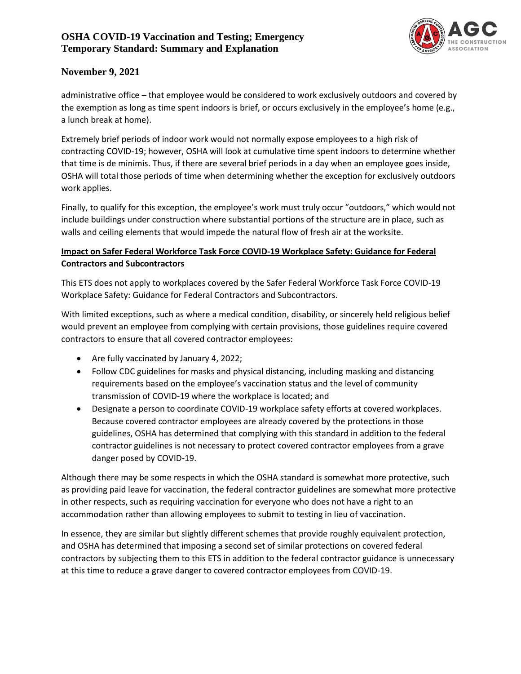# **OSHA COVID-19 Vaccination and Testing; Emergency Temporary Standard: Summary and Explanation**



# **November 9, 2021**

administrative office – that employee would be considered to work exclusively outdoors and covered by the exemption as long as time spent indoors is brief, or occurs exclusively in the employee's home (e.g., a lunch break at home).

Extremely brief periods of indoor work would not normally expose employees to a high risk of contracting COVID-19; however, OSHA will look at cumulative time spent indoors to determine whether that time is de minimis. Thus, if there are several brief periods in a day when an employee goes inside, OSHA will total those periods of time when determining whether the exception for exclusively outdoors work applies.

Finally, to qualify for this exception, the employee's work must truly occur "outdoors," which would not include buildings under construction where substantial portions of the structure are in place, such as walls and ceiling elements that would impede the natural flow of fresh air at the worksite.

# <span id="page-3-0"></span>**Impact on Safer Federal Workforce Task Force COVID-19 Workplace Safety: Guidance for Federal Contractors and Subcontractors**

This ETS does not apply to workplaces covered by the Safer Federal Workforce Task Force COVID-19 Workplace Safety: Guidance for Federal Contractors and Subcontractors.

With limited exceptions, such as where a medical condition, disability, or sincerely held religious belief would prevent an employee from complying with certain provisions, those guidelines require covered contractors to ensure that all covered contractor employees:

- Are fully vaccinated by January 4, 2022;
- Follow CDC guidelines for masks and physical distancing, including masking and distancing requirements based on the employee's vaccination status and the level of community transmission of COVID-19 where the workplace is located; and
- Designate a person to coordinate COVID-19 workplace safety efforts at covered workplaces. Because covered contractor employees are already covered by the protections in those guidelines, OSHA has determined that complying with this standard in addition to the federal contractor guidelines is not necessary to protect covered contractor employees from a grave danger posed by COVID-19.

Although there may be some respects in which the OSHA standard is somewhat more protective, such as providing paid leave for vaccination, the federal contractor guidelines are somewhat more protective in other respects, such as requiring vaccination for everyone who does not have a right to an accommodation rather than allowing employees to submit to testing in lieu of vaccination.

<span id="page-3-1"></span>In essence, they are similar but slightly different schemes that provide roughly equivalent protection, and OSHA has determined that imposing a second set of similar protections on covered federal contractors by subjecting them to this ETS in addition to the federal contractor guidance is unnecessary at this time to reduce a grave danger to covered contractor employees from COVID-19.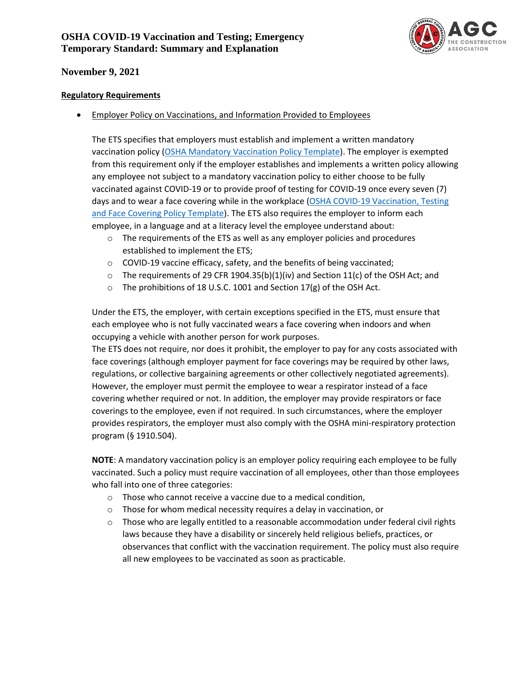# **OSHA COVID-19 Vaccination and Testing; Emergency Temporary Standard: Summary and Explanation**



## **November 9, 2021**

#### **Regulatory Requirements**

<span id="page-4-0"></span>• Employer Policy on Vaccinations, and Information Provided to Employees

The ETS specifies that employers must establish and implement a written mandatory vaccination policy [\(OSHA Mandatory Vaccination Policy Template\)](https://www.osha.gov/sites/default/files/covid-19-ets2-sample-mandatory-vaccination-policy.docx). The employer is exempted from this requirement only if the employer establishes and implements a written policy allowing any employee not subject to a mandatory vaccination policy to either choose to be fully vaccinated against COVID-19 or to provide proof of testing for COVID-19 once every seven (7) days and to wear a face covering while in the workplace (OSHA COVID-19 Vaccination, Testing [and Face Covering Policy Template\)](https://www.osha.gov/sites/default/files/covid-19-ets2-sample-employee-choice-vaccination-policy.docx). The ETS also requires the employer to inform each employee, in a language and at a literacy level the employee understand about:

- o The requirements of the ETS as well as any employer policies and procedures established to implement the ETS;
- o COVID-19 vaccine efficacy, safety, and the benefits of being vaccinated;
- $\circ$  The requirements of 29 CFR 1904.35(b)(1)(iv) and Section 11(c) of the OSH Act; and
- o The prohibitions of 18 U.S.C. 1001 and Section 17(g) of the OSH Act.

Under the ETS, the employer, with certain exceptions specified in the ETS, must ensure that each employee who is not fully vaccinated wears a face covering when indoors and when occupying a vehicle with another person for work purposes.

The ETS does not require, nor does it prohibit, the employer to pay for any costs associated with face coverings (although employer payment for face coverings may be required by other laws, regulations, or collective bargaining agreements or other collectively negotiated agreements). However, the employer must permit the employee to wear a respirator instead of a face covering whether required or not. In addition, the employer may provide respirators or face coverings to the employee, even if not required. In such circumstances, where the employer provides respirators, the employer must also comply with the OSHA mini-respiratory protection program (§ 1910.504).

**NOTE**: A mandatory vaccination policy is an employer policy requiring each employee to be fully vaccinated. Such a policy must require vaccination of all employees, other than those employees who fall into one of three categories:

- o Those who cannot receive a vaccine due to a medical condition,
- o Those for whom medical necessity requires a delay in vaccination, or
- $\circ$  Those who are legally entitled to a reasonable accommodation under federal civil rights laws because they have a disability or sincerely held religious beliefs, practices, or observances that conflict with the vaccination requirement. The policy must also require all new employees to be vaccinated as soon as practicable.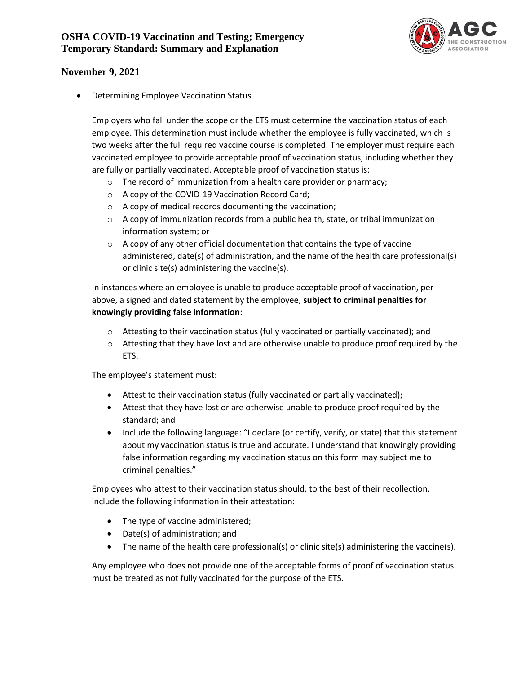

<span id="page-5-0"></span>• Determining Employee Vaccination Status

Employers who fall under the scope or the ETS must determine the vaccination status of each employee. This determination must include whether the employee is fully vaccinated, which is two weeks after the full required vaccine course is completed. The employer must require each vaccinated employee to provide acceptable proof of vaccination status, including whether they are fully or partially vaccinated. Acceptable proof of vaccination status is:

- o The record of immunization from a health care provider or pharmacy;
- o A copy of the COVID-19 Vaccination Record Card;
- o A copy of medical records documenting the vaccination;
- $\circ$  A copy of immunization records from a public health, state, or tribal immunization information system; or
- $\circ$  A copy of any other official documentation that contains the type of vaccine administered, date(s) of administration, and the name of the health care professional(s) or clinic site(s) administering the vaccine(s).

In instances where an employee is unable to produce acceptable proof of vaccination, per above, a signed and dated statement by the employee, **subject to criminal penalties for knowingly providing false information**:

- $\circ$  Attesting to their vaccination status (fully vaccinated or partially vaccinated); and
- $\circ$  Attesting that they have lost and are otherwise unable to produce proof required by the ETS.

The employee's statement must:

- Attest to their vaccination status (fully vaccinated or partially vaccinated);
- Attest that they have lost or are otherwise unable to produce proof required by the standard; and
- Include the following language: "I declare (or certify, verify, or state) that this statement about my vaccination status is true and accurate. I understand that knowingly providing false information regarding my vaccination status on this form may subject me to criminal penalties."

Employees who attest to their vaccination status should, to the best of their recollection, include the following information in their attestation:

- The type of vaccine administered;
- Date(s) of administration; and
- The name of the health care professional(s) or clinic site(s) administering the vaccine(s).

Any employee who does not provide one of the acceptable forms of proof of vaccination status must be treated as not fully vaccinated for the purpose of the ETS.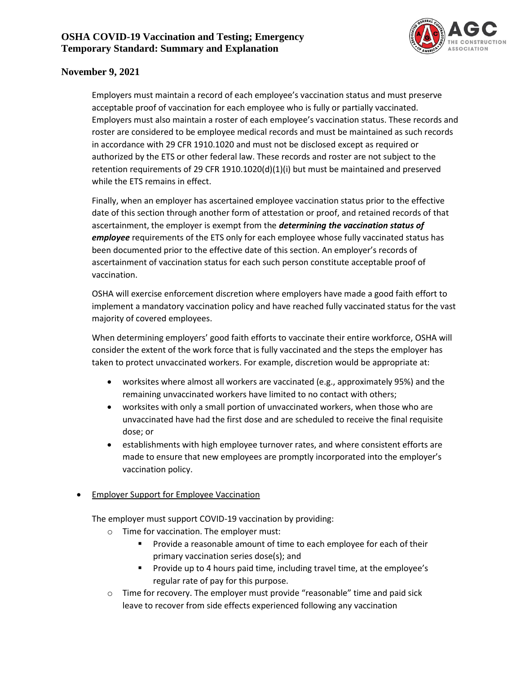

Employers must maintain a record of each employee's vaccination status and must preserve acceptable proof of vaccination for each employee who is fully or partially vaccinated. Employers must also maintain a roster of each employee's vaccination status. These records and roster are considered to be employee medical records and must be maintained as such records in accordance with 29 CFR 1910.1020 and must not be disclosed except as required or authorized by the ETS or other federal law. These records and roster are not subject to the retention requirements of 29 CFR 1910.1020(d)(1)(i) but must be maintained and preserved while the ETS remains in effect.

Finally, when an employer has ascertained employee vaccination status prior to the effective date of this section through another form of attestation or proof, and retained records of that ascertainment, the employer is exempt from the *determining the vaccination status of employee* requirements of the ETS only for each employee whose fully vaccinated status has been documented prior to the effective date of this section. An employer's records of ascertainment of vaccination status for each such person constitute acceptable proof of vaccination.

OSHA will exercise enforcement discretion where employers have made a good faith effort to implement a mandatory vaccination policy and have reached fully vaccinated status for the vast majority of covered employees.

When determining employers' good faith efforts to vaccinate their entire workforce, OSHA will consider the extent of the work force that is fully vaccinated and the steps the employer has taken to protect unvaccinated workers. For example, discretion would be appropriate at:

- worksites where almost all workers are vaccinated (e.g., approximately 95%) and the remaining unvaccinated workers have limited to no contact with others;
- worksites with only a small portion of unvaccinated workers, when those who are unvaccinated have had the first dose and are scheduled to receive the final requisite dose; or
- establishments with high employee turnover rates, and where consistent efforts are made to ensure that new employees are promptly incorporated into the employer's vaccination policy.

### <span id="page-6-0"></span>• Employer Support for Employee Vaccination

The employer must support COVID-19 vaccination by providing:

- o Time for vaccination. The employer must:
	- Provide a reasonable amount of time to each employee for each of their primary vaccination series dose(s); and
	- Provide up to 4 hours paid time, including travel time, at the employee's regular rate of pay for this purpose.
- $\circ$  Time for recovery. The employer must provide "reasonable" time and paid sick leave to recover from side effects experienced following any vaccination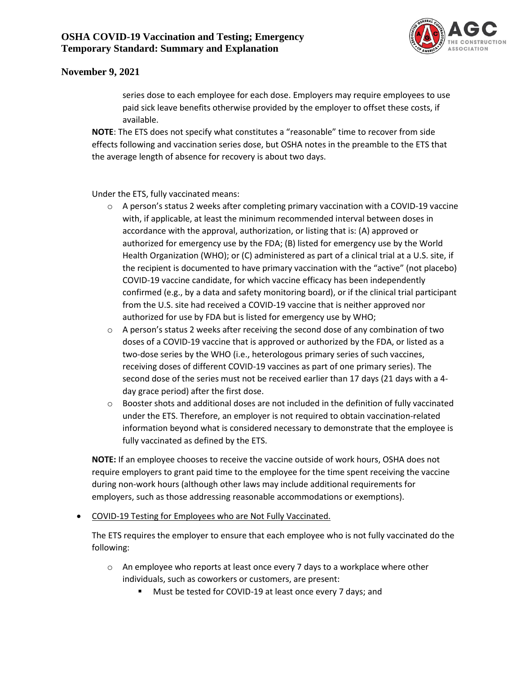

series dose to each employee for each dose. Employers may require employees to use paid sick leave benefits otherwise provided by the employer to offset these costs, if available.

**NOTE**: The ETS does not specify what constitutes a "reasonable" time to recover from side effects following and vaccination series dose, but OSHA notes in the preamble to the ETS that the average length of absence for recovery is about two days.

Under the ETS, fully vaccinated means:

- o A person's status 2 weeks after completing primary vaccination with a COVID-19 vaccine with, if applicable, at least the minimum recommended interval between doses in accordance with the approval, authorization, or listing that is: (A) approved or authorized for emergency use by the FDA; (B) listed for emergency use by the World Health Organization (WHO); or (C) administered as part of a clinical trial at a U.S. site, if the recipient is documented to have primary vaccination with the "active" (not placebo) COVID-19 vaccine candidate, for which vaccine efficacy has been independently confirmed (e.g., by a data and safety monitoring board), or if the clinical trial participant from the U.S. site had received a COVID-19 vaccine that is neither approved nor authorized for use by FDA but is listed for emergency use by WHO;
- $\circ$  A person's status 2 weeks after receiving the second dose of any combination of two doses of a COVID-19 vaccine that is approved or authorized by the FDA, or listed as a two-dose series by the WHO (i.e., heterologous primary series of such vaccines, receiving doses of different COVID-19 vaccines as part of one primary series). The second dose of the series must not be received earlier than 17 days (21 days with a 4 day grace period) after the first dose.
- $\circ$  Booster shots and additional doses are not included in the definition of fully vaccinated under the ETS. Therefore, an employer is not required to obtain vaccination-related information beyond what is considered necessary to demonstrate that the employee is fully vaccinated as defined by the ETS.

**NOTE:** If an employee chooses to receive the vaccine outside of work hours, OSHA does not require employers to grant paid time to the employee for the time spent receiving the vaccine during non-work hours (although other laws may include additional requirements for employers, such as those addressing reasonable accommodations or exemptions).

<span id="page-7-0"></span>• COVID-19 Testing for Employees who are Not Fully Vaccinated.

The ETS requires the employer to ensure that each employee who is not fully vaccinated do the following:

- $\circ$  An employee who reports at least once every 7 days to a workplace where other individuals, such as coworkers or customers, are present:
	- Must be tested for COVID-19 at least once every 7 days; and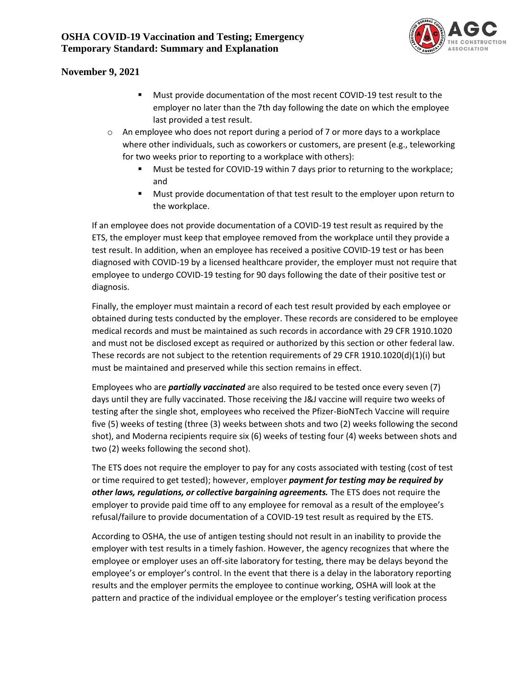

- Must provide documentation of the most recent COVID-19 test result to the employer no later than the 7th day following the date on which the employee last provided a test result.
- $\circ$  An employee who does not report during a period of 7 or more days to a workplace where other individuals, such as coworkers or customers, are present (e.g., teleworking for two weeks prior to reporting to a workplace with others):
	- Must be tested for COVID-19 within 7 days prior to returning to the workplace; and
	- Must provide documentation of that test result to the employer upon return to the workplace.

If an employee does not provide documentation of a COVID-19 test result as required by the ETS, the employer must keep that employee removed from the workplace until they provide a test result. In addition, when an employee has received a positive COVID-19 test or has been diagnosed with COVID-19 by a licensed healthcare provider, the employer must not require that employee to undergo COVID-19 testing for 90 days following the date of their positive test or diagnosis.

Finally, the employer must maintain a record of each test result provided by each employee or obtained during tests conducted by the employer. These records are considered to be employee medical records and must be maintained as such records in accordance with 29 CFR 1910.1020 and must not be disclosed except as required or authorized by this section or other federal law. These records are not subject to the retention requirements of 29 CFR 1910.1020(d)(1)(i) but must be maintained and preserved while this section remains in effect.

Employees who are *partially vaccinated* are also required to be tested once every seven (7) days until they are fully vaccinated. Those receiving the J&J vaccine will require two weeks of testing after the single shot, employees who received the Pfizer-BioNTech Vaccine will require five (5) weeks of testing (three (3) weeks between shots and two (2) weeks following the second shot), and Moderna recipients require six (6) weeks of testing four (4) weeks between shots and two (2) weeks following the second shot).

The ETS does not require the employer to pay for any costs associated with testing (cost of test or time required to get tested); however, employer *payment for testing may be required by other laws, regulations, or collective bargaining agreements.* The ETS does not require the employer to provide paid time off to any employee for removal as a result of the employee's refusal/failure to provide documentation of a COVID-19 test result as required by the ETS.

According to OSHA, the use of antigen testing should not result in an inability to provide the employer with test results in a timely fashion. However, the agency recognizes that where the employee or employer uses an off-site laboratory for testing, there may be delays beyond the employee's or employer's control. In the event that there is a delay in the laboratory reporting results and the employer permits the employee to continue working, OSHA will look at the pattern and practice of the individual employee or the employer's testing verification process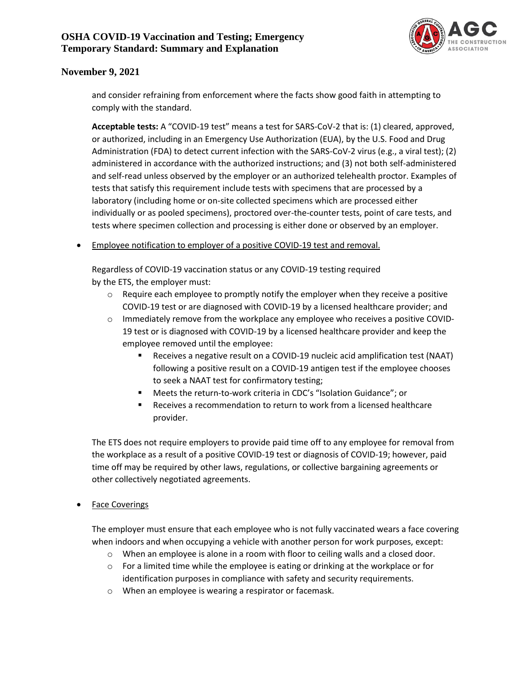

and consider refraining from enforcement where the facts show good faith in attempting to comply with the standard.

**Acceptable tests:** A "COVID-19 test" means a test for SARS-CoV-2 that is: (1) cleared, approved, or authorized, including in an Emergency Use Authorization (EUA), by the U.S. Food and Drug Administration (FDA) to detect current infection with the SARS-CoV-2 virus (e.g., a viral test); (2) administered in accordance with the authorized instructions; and (3) not both self-administered and self-read unless observed by the employer or an authorized telehealth proctor. Examples of tests that satisfy this requirement include tests with specimens that are processed by a laboratory (including home or on-site collected specimens which are processed either individually or as pooled specimens), proctored over-the-counter tests, point of care tests, and tests where specimen collection and processing is either done or observed by an employer.

<span id="page-9-0"></span>• Employee notification to employer of a positive COVID-19 test and removal.

Regardless of COVID-19 vaccination status or any COVID-19 testing required by the ETS, the employer must:

- $\circ$  Require each employee to promptly notify the employer when they receive a positive COVID-19 test or are diagnosed with COVID-19 by a licensed healthcare provider; and
- $\circ$  Immediately remove from the workplace any employee who receives a positive COVID-19 test or is diagnosed with COVID-19 by a licensed healthcare provider and keep the employee removed until the employee:
	- Receives a negative result on a COVID-19 nucleic acid amplification test (NAAT) following a positive result on a COVID-19 antigen test if the employee chooses to seek a NAAT test for confirmatory testing;
	- Meets the return-to-work criteria in CDC's "Isolation Guidance"; or
	- Receives a recommendation to return to work from a licensed healthcare provider.

The ETS does not require employers to provide paid time off to any employee for removal from the workplace as a result of a positive COVID-19 test or diagnosis of COVID-19; however, paid time off may be required by other laws, regulations, or collective bargaining agreements or other collectively negotiated agreements.

### <span id="page-9-1"></span>**Face Coverings**

The employer must ensure that each employee who is not fully vaccinated wears a face covering when indoors and when occupying a vehicle with another person for work purposes, except:

- $\circ$  When an employee is alone in a room with floor to ceiling walls and a closed door.
- $\circ$  For a limited time while the employee is eating or drinking at the workplace or for identification purposes in compliance with safety and security requirements.
- o When an employee is wearing a respirator or facemask.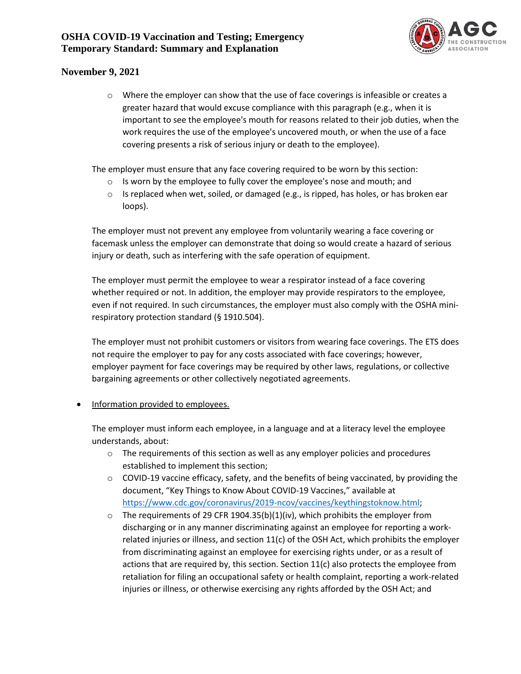

 $\circ$  Where the employer can show that the use of face coverings is infeasible or creates a greater hazard that would excuse compliance with this paragraph (e.g., when it is important to see the employee's mouth for reasons related to their job duties, when the work requires the use of the employee's uncovered mouth, or when the use of a face covering presents a risk of serious injury or death to the employee).

The employer must ensure that any face covering required to be worn by this section:

- o Is worn by the employee to fully cover the employee's nose and mouth; and
- $\circ$  Is replaced when wet, soiled, or damaged (e.g., is ripped, has holes, or has broken ear loops).

The employer must not prevent any employee from voluntarily wearing a face covering or facemask unless the employer can demonstrate that doing so would create a hazard of serious injury or death, such as interfering with the safe operation of equipment.

The employer must permit the employee to wear a respirator instead of a face covering whether required or not. In addition, the employer may provide respirators to the employee, even if not required. In such circumstances, the employer must also comply with the OSHA minirespiratory protection standard (§ 1910.504).

The employer must not prohibit customers or visitors from wearing face coverings. The ETS does not require the employer to pay for any costs associated with face coverings; however, employer payment for face coverings may be required by other laws, regulations, or collective bargaining agreements or other collectively negotiated agreements.

### <span id="page-10-0"></span>• Information provided to employees.

The employer must inform each employee, in a language and at a literacy level the employee understands, about:

- $\circ$  The requirements of this section as well as any employer policies and procedures established to implement this section;
- $\circ$  COVID-19 vaccine efficacy, safety, and the benefits of being vaccinated, by providing the document, "Key Things to Know About COVID-19 Vaccines," available at [https://www.cdc.gov/coronavirus/2019-ncov/vaccines/keythingstoknow.html;](https://www.cdc.gov/coronavirus/2019-ncov/vaccines/keythingstoknow.html)
- o The requirements of 29 CFR 1904.35(b)(1)(iv), which prohibits the employer from discharging or in any manner discriminating against an employee for reporting a workrelated injuries or illness, and section  $11(c)$  of the OSH Act, which prohibits the employer from discriminating against an employee for exercising rights under, or as a result of actions that are required by, this section. Section  $11(c)$  also protects the employee from retaliation for filing an occupational safety or health complaint, reporting a work-related injuries or illness, or otherwise exercising any rights afforded by the OSH Act; and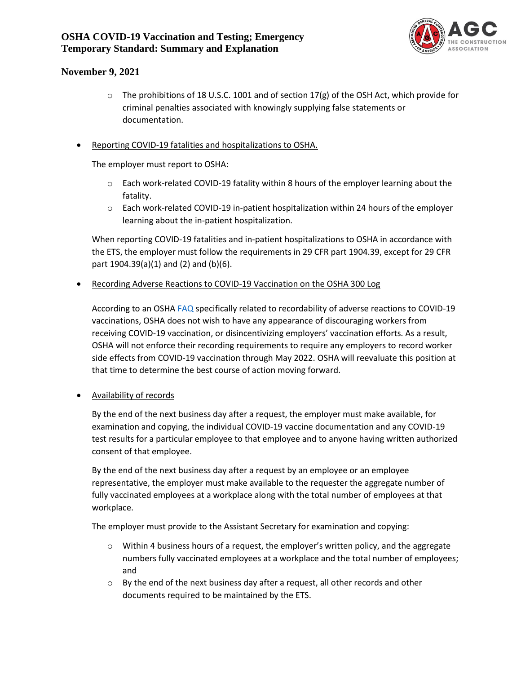

 $\circ$  The prohibitions of 18 U.S.C. 1001 and of section 17(g) of the OSH Act, which provide for criminal penalties associated with knowingly supplying false statements or documentation.

### <span id="page-11-0"></span>• Reporting COVID-19 fatalities and hospitalizations to OSHA.

The employer must report to OSHA:

- $\circ$  Each work-related COVID-19 fatality within 8 hours of the employer learning about the fatality.
- o Each work-related COVID-19 in-patient hospitalization within 24 hours of the employer learning about the in-patient hospitalization.

When reporting COVID-19 fatalities and in-patient hospitalizations to OSHA in accordance with the ETS, the employer must follow the requirements in 29 CFR part 1904.39, except for 29 CFR part 1904.39(a)(1) and (2) and (b)(6).

<span id="page-11-1"></span>• Recording Adverse Reactions to COVID-19 Vaccination on the OSHA 300 Log

According to an OSH[A FAQ](https://www.osha.gov/coronavirus/faqs#collapse-vaccine) specifically related to recordability of adverse reactions to COVID-19 vaccinations, OSHA does not wish to have any appearance of discouraging workers from receiving COVID-19 vaccination, or disincentivizing employers' vaccination efforts. As a result, OSHA will not enforce their recording requirements to require any employers to record worker side effects from COVID-19 vaccination through May 2022. OSHA will reevaluate this position at that time to determine the best course of action moving forward.

<span id="page-11-2"></span>• Availability of records

By the end of the next business day after a request, the employer must make available, for examination and copying, the individual COVID-19 vaccine documentation and any COVID-19 test results for a particular employee to that employee and to anyone having written authorized consent of that employee.

By the end of the next business day after a request by an employee or an employee representative, the employer must make available to the requester the aggregate number of fully vaccinated employees at a workplace along with the total number of employees at that workplace.

The employer must provide to the Assistant Secretary for examination and copying:

- $\circ$  Within 4 business hours of a request, the employer's written policy, and the aggregate numbers fully vaccinated employees at a workplace and the total number of employees; and
- $\circ$  By the end of the next business day after a request, all other records and other documents required to be maintained by the ETS.